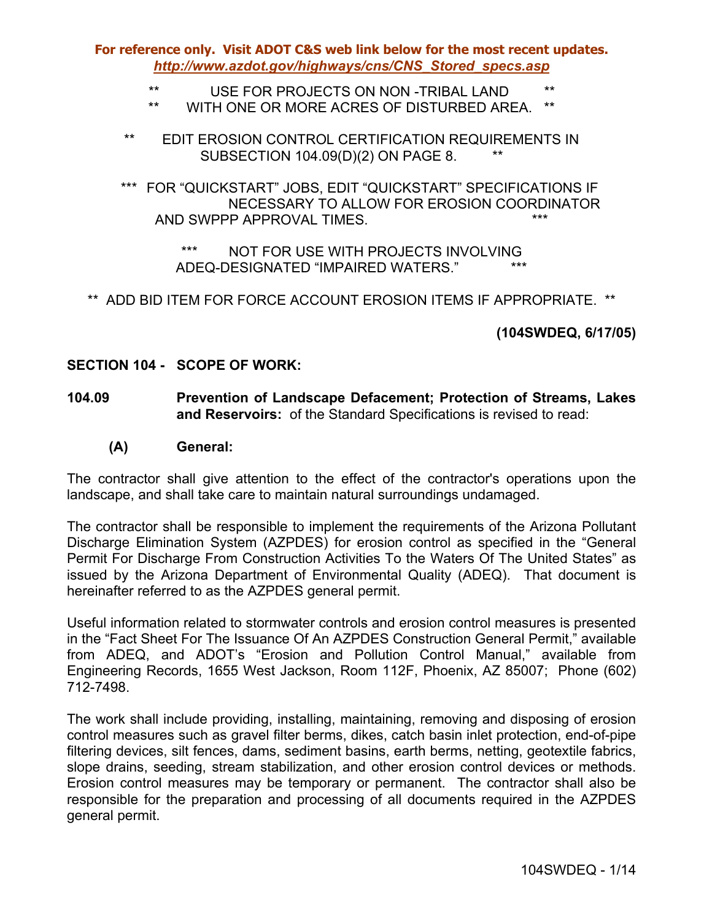- \*\* USE FOR PROJECTS ON NON -TRIBAL LAND \*\*
- \*\* WITH ONE OR MORE ACRES OF DISTURBED AREA. \*\*
- \*\* EDIT EROSION CONTROL CERTIFICATION REQUIREMENTS IN SUBSECTION 104.09(D)(2) ON PAGE 8. \*\*
- \*\*\* FOR "QUICKSTART" JOBS, EDIT "QUICKSTART" SPECIFICATIONS IF NECESSARY TO ALLOW FOR EROSION COORDINATOR AND SWPPP APPROVAL TIMES.

\*\*\* NOT FOR USE WITH PROJECTS INVOLVING ADEQ-DESIGNATED "IMPAIRED WATERS."

\*\* ADD BID ITEM FOR FORCE ACCOUNT EROSION ITEMS IF APPROPRIATE. \*\*

**(104SWDEQ, 6/17/05)** 

#### **SECTION 104 - SCOPE OF WORK:**

- **104.09 Prevention of Landscape Defacement; Protection of Streams, Lakes and Reservoirs:** of the Standard Specifications is revised to read:
	- **(A) General:**

The contractor shall give attention to the effect of the contractor's operations upon the landscape, and shall take care to maintain natural surroundings undamaged.

The contractor shall be responsible to implement the requirements of the Arizona Pollutant Discharge Elimination System (AZPDES) for erosion control as specified in the "General Permit For Discharge From Construction Activities To the Waters Of The United States" as issued by the Arizona Department of Environmental Quality (ADEQ). That document is hereinafter referred to as the AZPDES general permit.

Useful information related to stormwater controls and erosion control measures is presented in the "Fact Sheet For The Issuance Of An AZPDES Construction General Permit," available from ADEQ, and ADOT's "Erosion and Pollution Control Manual," available from Engineering Records, 1655 West Jackson, Room 112F, Phoenix, AZ 85007; Phone (602) 712-7498.

The work shall include providing, installing, maintaining, removing and disposing of erosion control measures such as gravel filter berms, dikes, catch basin inlet protection, end-of-pipe filtering devices, silt fences, dams, sediment basins, earth berms, netting, geotextile fabrics, slope drains, seeding, stream stabilization, and other erosion control devices or methods. Erosion control measures may be temporary or permanent. The contractor shall also be responsible for the preparation and processing of all documents required in the AZPDES general permit.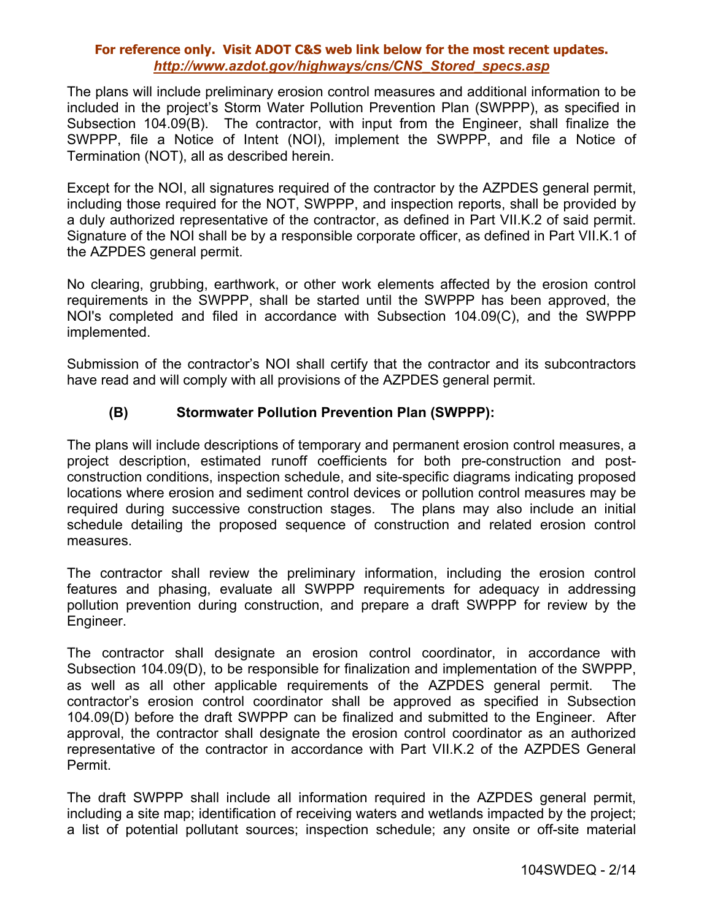The plans will include preliminary erosion control measures and additional information to be included in the project's Storm Water Pollution Prevention Plan (SWPPP), as specified in Subsection 104.09(B). The contractor, with input from the Engineer, shall finalize the SWPPP, file a Notice of Intent (NOI), implement the SWPPP, and file a Notice of Termination (NOT), all as described herein.

Except for the NOI, all signatures required of the contractor by the AZPDES general permit, including those required for the NOT, SWPPP, and inspection reports, shall be provided by a duly authorized representative of the contractor, as defined in Part VII.K.2 of said permit. Signature of the NOI shall be by a responsible corporate officer, as defined in Part VII.K.1 of the AZPDES general permit.

No clearing, grubbing, earthwork, or other work elements affected by the erosion control requirements in the SWPPP, shall be started until the SWPPP has been approved, the NOI's completed and filed in accordance with Subsection 104.09(C), and the SWPPP implemented.

Submission of the contractor's NOI shall certify that the contractor and its subcontractors have read and will comply with all provisions of the AZPDES general permit.

### **(B) Stormwater Pollution Prevention Plan (SWPPP):**

The plans will include descriptions of temporary and permanent erosion control measures, a project description, estimated runoff coefficients for both pre-construction and postconstruction conditions, inspection schedule, and site-specific diagrams indicating proposed locations where erosion and sediment control devices or pollution control measures may be required during successive construction stages. The plans may also include an initial schedule detailing the proposed sequence of construction and related erosion control measures.

The contractor shall review the preliminary information, including the erosion control features and phasing, evaluate all SWPPP requirements for adequacy in addressing pollution prevention during construction, and prepare a draft SWPPP for review by the Engineer.

The contractor shall designate an erosion control coordinator, in accordance with Subsection 104.09(D), to be responsible for finalization and implementation of the SWPPP, as well as all other applicable requirements of the AZPDES general permit. The contractor's erosion control coordinator shall be approved as specified in Subsection 104.09(D) before the draft SWPPP can be finalized and submitted to the Engineer. After approval, the contractor shall designate the erosion control coordinator as an authorized representative of the contractor in accordance with Part VII.K.2 of the AZPDES General Permit.

The draft SWPPP shall include all information required in the AZPDES general permit, including a site map; identification of receiving waters and wetlands impacted by the project; a list of potential pollutant sources; inspection schedule; any onsite or off-site material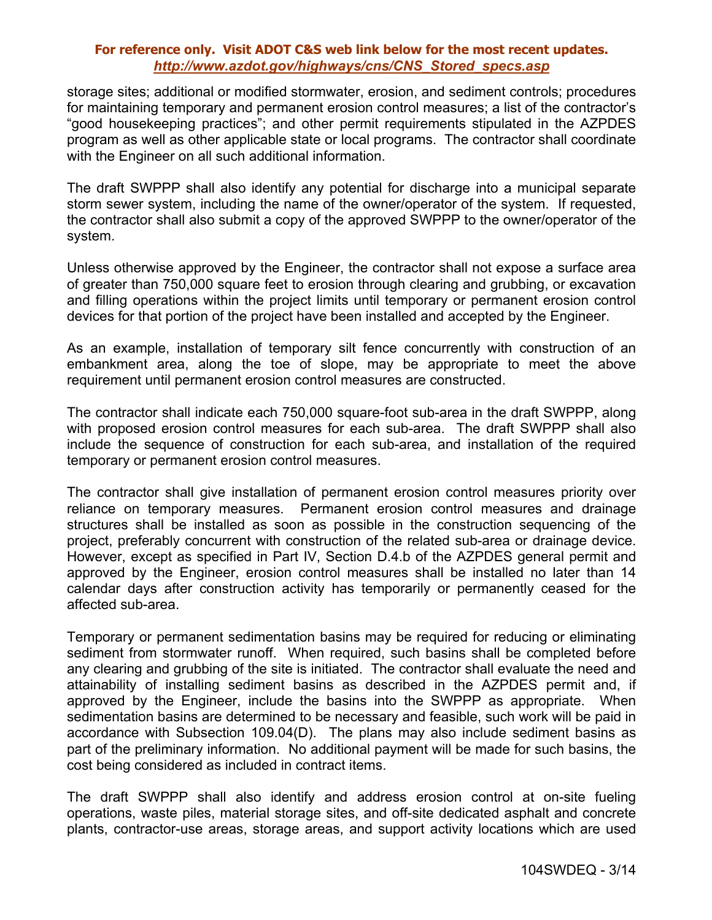storage sites; additional or modified stormwater, erosion, and sediment controls; procedures for maintaining temporary and permanent erosion control measures; a list of the contractor's "good housekeeping practices"; and other permit requirements stipulated in the AZPDES program as well as other applicable state or local programs. The contractor shall coordinate with the Engineer on all such additional information.

The draft SWPPP shall also identify any potential for discharge into a municipal separate storm sewer system, including the name of the owner/operator of the system. If requested, the contractor shall also submit a copy of the approved SWPPP to the owner/operator of the system.

Unless otherwise approved by the Engineer, the contractor shall not expose a surface area of greater than 750,000 square feet to erosion through clearing and grubbing, or excavation and filling operations within the project limits until temporary or permanent erosion control devices for that portion of the project have been installed and accepted by the Engineer.

As an example, installation of temporary silt fence concurrently with construction of an embankment area, along the toe of slope, may be appropriate to meet the above requirement until permanent erosion control measures are constructed.

The contractor shall indicate each 750,000 square-foot sub-area in the draft SWPPP, along with proposed erosion control measures for each sub-area. The draft SWPPP shall also include the sequence of construction for each sub-area, and installation of the required temporary or permanent erosion control measures.

The contractor shall give installation of permanent erosion control measures priority over reliance on temporary measures. Permanent erosion control measures and drainage structures shall be installed as soon as possible in the construction sequencing of the project, preferably concurrent with construction of the related sub-area or drainage device. However, except as specified in Part IV, Section D.4.b of the AZPDES general permit and approved by the Engineer, erosion control measures shall be installed no later than 14 calendar days after construction activity has temporarily or permanently ceased for the affected sub-area.

Temporary or permanent sedimentation basins may be required for reducing or eliminating sediment from stormwater runoff. When required, such basins shall be completed before any clearing and grubbing of the site is initiated. The contractor shall evaluate the need and attainability of installing sediment basins as described in the AZPDES permit and, if approved by the Engineer, include the basins into the SWPPP as appropriate. When sedimentation basins are determined to be necessary and feasible, such work will be paid in accordance with Subsection 109.04(D). The plans may also include sediment basins as part of the preliminary information. No additional payment will be made for such basins, the cost being considered as included in contract items.

The draft SWPPP shall also identify and address erosion control at on-site fueling operations, waste piles, material storage sites, and off-site dedicated asphalt and concrete plants, contractor-use areas, storage areas, and support activity locations which are used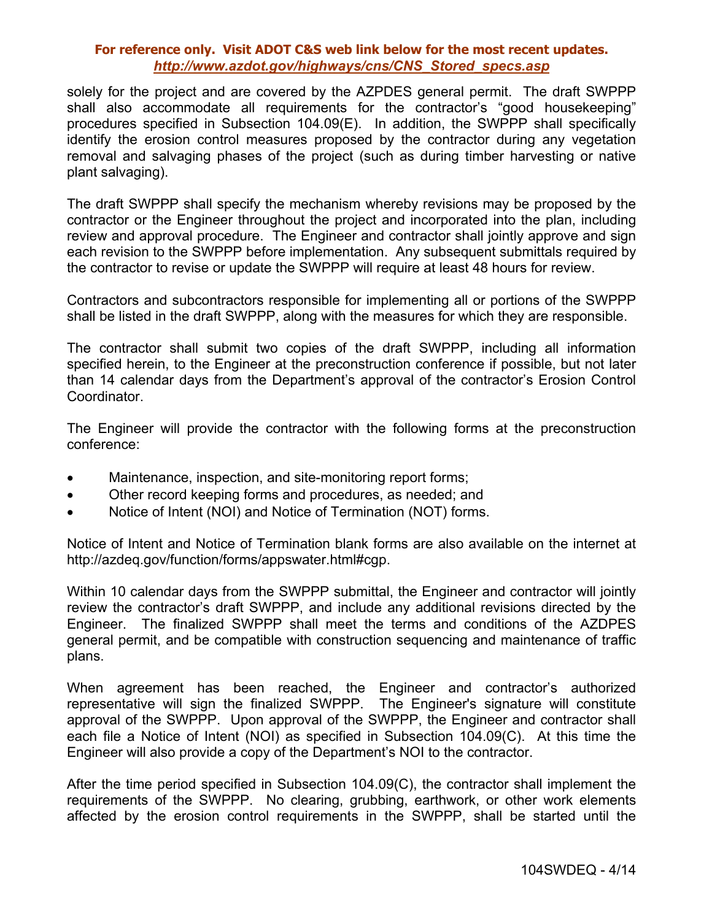solely for the project and are covered by the AZPDES general permit. The draft SWPPP shall also accommodate all requirements for the contractor's "good housekeeping" procedures specified in Subsection 104.09(E). In addition, the SWPPP shall specifically identify the erosion control measures proposed by the contractor during any vegetation removal and salvaging phases of the project (such as during timber harvesting or native plant salvaging).

The draft SWPPP shall specify the mechanism whereby revisions may be proposed by the contractor or the Engineer throughout the project and incorporated into the plan, including review and approval procedure. The Engineer and contractor shall jointly approve and sign each revision to the SWPPP before implementation. Any subsequent submittals required by the contractor to revise or update the SWPPP will require at least 48 hours for review.

Contractors and subcontractors responsible for implementing all or portions of the SWPPP shall be listed in the draft SWPPP, along with the measures for which they are responsible.

The contractor shall submit two copies of the draft SWPPP, including all information specified herein, to the Engineer at the preconstruction conference if possible, but not later than 14 calendar days from the Department's approval of the contractor's Erosion Control Coordinator.

The Engineer will provide the contractor with the following forms at the preconstruction conference:

- Maintenance, inspection, and site-monitoring report forms;
- Other record keeping forms and procedures, as needed; and
- Notice of Intent (NOI) and Notice of Termination (NOT) forms.

Notice of Intent and Notice of Termination blank forms are also available on the internet at http://azdeq.gov/function/forms/appswater.html#cgp.

Within 10 calendar days from the SWPPP submittal, the Engineer and contractor will jointly review the contractor's draft SWPPP, and include any additional revisions directed by the Engineer. The finalized SWPPP shall meet the terms and conditions of the AZDPES general permit, and be compatible with construction sequencing and maintenance of traffic plans.

When agreement has been reached, the Engineer and contractor's authorized representative will sign the finalized SWPPP. The Engineer's signature will constitute approval of the SWPPP. Upon approval of the SWPPP, the Engineer and contractor shall each file a Notice of Intent (NOI) as specified in Subsection 104.09(C). At this time the Engineer will also provide a copy of the Department's NOI to the contractor.

After the time period specified in Subsection 104.09(C), the contractor shall implement the requirements of the SWPPP. No clearing, grubbing, earthwork, or other work elements affected by the erosion control requirements in the SWPPP, shall be started until the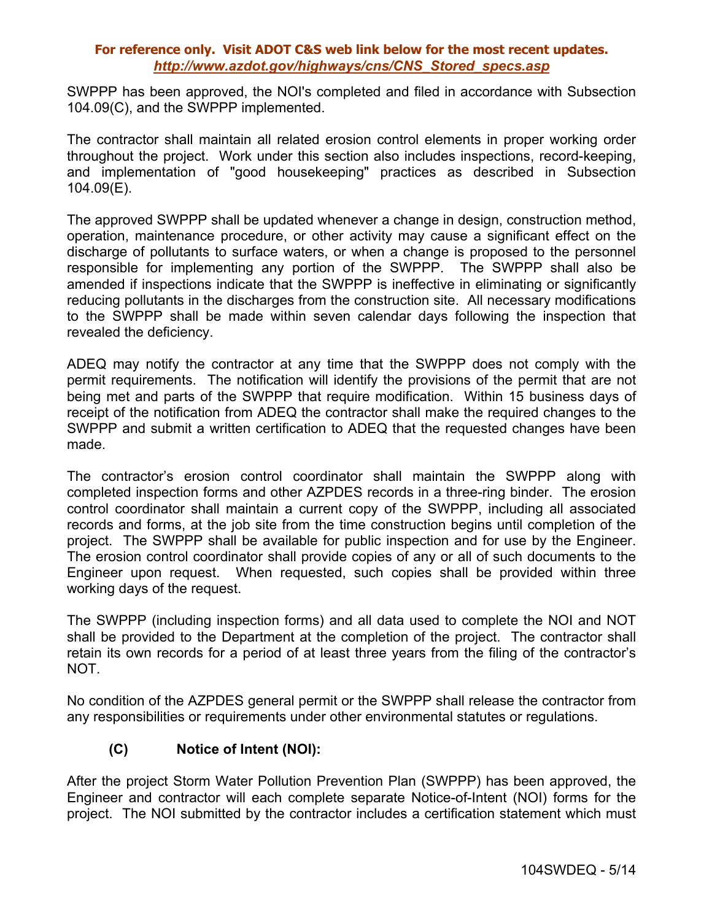SWPPP has been approved, the NOI's completed and filed in accordance with Subsection 104.09(C), and the SWPPP implemented.

The contractor shall maintain all related erosion control elements in proper working order throughout the project. Work under this section also includes inspections, record-keeping, and implementation of "good housekeeping" practices as described in Subsection 104.09(E).

The approved SWPPP shall be updated whenever a change in design, construction method, operation, maintenance procedure, or other activity may cause a significant effect on the discharge of pollutants to surface waters, or when a change is proposed to the personnel responsible for implementing any portion of the SWPPP. The SWPPP shall also be amended if inspections indicate that the SWPPP is ineffective in eliminating or significantly reducing pollutants in the discharges from the construction site. All necessary modifications to the SWPPP shall be made within seven calendar days following the inspection that revealed the deficiency.

ADEQ may notify the contractor at any time that the SWPPP does not comply with the permit requirements. The notification will identify the provisions of the permit that are not being met and parts of the SWPPP that require modification. Within 15 business days of receipt of the notification from ADEQ the contractor shall make the required changes to the SWPPP and submit a written certification to ADEQ that the requested changes have been made.

The contractor's erosion control coordinator shall maintain the SWPPP along with completed inspection forms and other AZPDES records in a three-ring binder. The erosion control coordinator shall maintain a current copy of the SWPPP, including all associated records and forms, at the job site from the time construction begins until completion of the project. The SWPPP shall be available for public inspection and for use by the Engineer. The erosion control coordinator shall provide copies of any or all of such documents to the Engineer upon request. When requested, such copies shall be provided within three working days of the request.

The SWPPP (including inspection forms) and all data used to complete the NOI and NOT shall be provided to the Department at the completion of the project. The contractor shall retain its own records for a period of at least three years from the filing of the contractor's NOT.

No condition of the AZPDES general permit or the SWPPP shall release the contractor from any responsibilities or requirements under other environmental statutes or regulations.

# **(C) Notice of Intent (NOI):**

After the project Storm Water Pollution Prevention Plan (SWPPP) has been approved, the Engineer and contractor will each complete separate Notice-of-Intent (NOI) forms for the project. The NOI submitted by the contractor includes a certification statement which must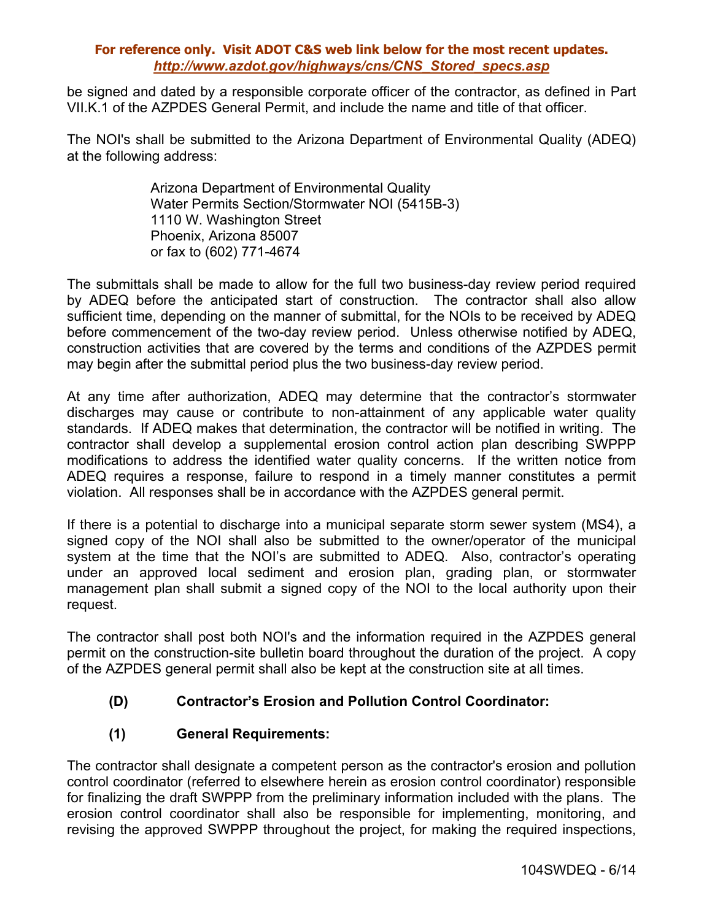be signed and dated by a responsible corporate officer of the contractor, as defined in Part VII.K.1 of the AZPDES General Permit, and include the name and title of that officer.

The NOI's shall be submitted to the Arizona Department of Environmental Quality (ADEQ) at the following address:

> Arizona Department of Environmental Quality Water Permits Section/Stormwater NOI (5415B-3) 1110 W. Washington Street Phoenix, Arizona 85007 or fax to (602) 771-4674

The submittals shall be made to allow for the full two business-day review period required by ADEQ before the anticipated start of construction. The contractor shall also allow sufficient time, depending on the manner of submittal, for the NOIs to be received by ADEQ before commencement of the two-day review period. Unless otherwise notified by ADEQ, construction activities that are covered by the terms and conditions of the AZPDES permit may begin after the submittal period plus the two business-day review period.

At any time after authorization, ADEQ may determine that the contractor's stormwater discharges may cause or contribute to non-attainment of any applicable water quality standards. If ADEQ makes that determination, the contractor will be notified in writing. The contractor shall develop a supplemental erosion control action plan describing SWPPP modifications to address the identified water quality concerns. If the written notice from ADEQ requires a response, failure to respond in a timely manner constitutes a permit violation. All responses shall be in accordance with the AZPDES general permit.

If there is a potential to discharge into a municipal separate storm sewer system (MS4), a signed copy of the NOI shall also be submitted to the owner/operator of the municipal system at the time that the NOI's are submitted to ADEQ. Also, contractor's operating under an approved local sediment and erosion plan, grading plan, or stormwater management plan shall submit a signed copy of the NOI to the local authority upon their request.

The contractor shall post both NOI's and the information required in the AZPDES general permit on the construction-site bulletin board throughout the duration of the project. A copy of the AZPDES general permit shall also be kept at the construction site at all times.

# **(D) Contractor's Erosion and Pollution Control Coordinator:**

# **(1) General Requirements:**

The contractor shall designate a competent person as the contractor's erosion and pollution control coordinator (referred to elsewhere herein as erosion control coordinator) responsible for finalizing the draft SWPPP from the preliminary information included with the plans. The erosion control coordinator shall also be responsible for implementing, monitoring, and revising the approved SWPPP throughout the project, for making the required inspections,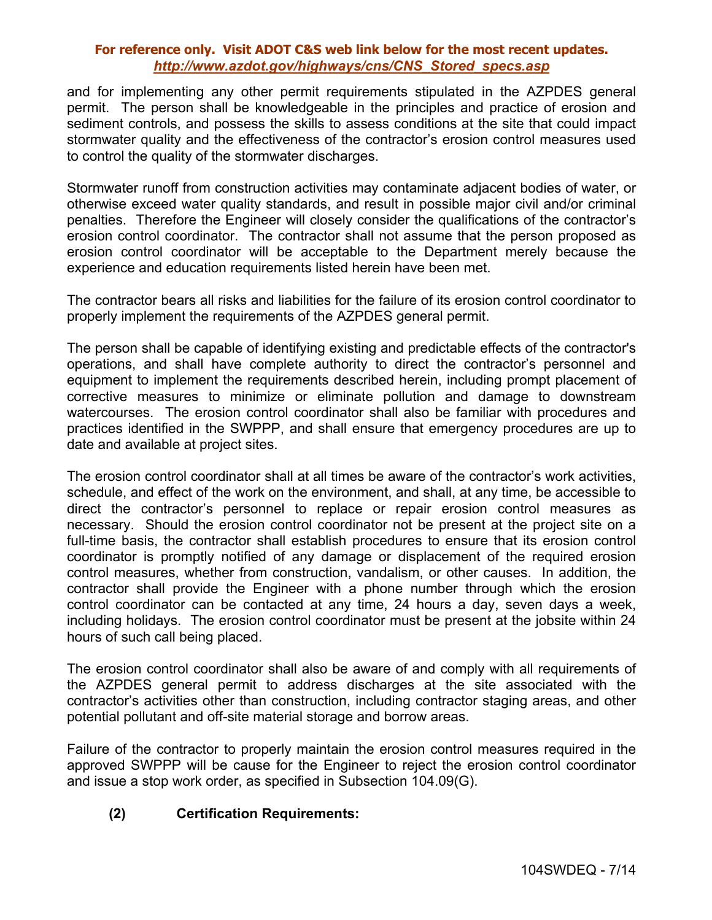and for implementing any other permit requirements stipulated in the AZPDES general permit. The person shall be knowledgeable in the principles and practice of erosion and sediment controls, and possess the skills to assess conditions at the site that could impact stormwater quality and the effectiveness of the contractor's erosion control measures used to control the quality of the stormwater discharges.

Stormwater runoff from construction activities may contaminate adjacent bodies of water, or otherwise exceed water quality standards, and result in possible major civil and/or criminal penalties. Therefore the Engineer will closely consider the qualifications of the contractor's erosion control coordinator. The contractor shall not assume that the person proposed as erosion control coordinator will be acceptable to the Department merely because the experience and education requirements listed herein have been met.

The contractor bears all risks and liabilities for the failure of its erosion control coordinator to properly implement the requirements of the AZPDES general permit.

The person shall be capable of identifying existing and predictable effects of the contractor's operations, and shall have complete authority to direct the contractor's personnel and equipment to implement the requirements described herein, including prompt placement of corrective measures to minimize or eliminate pollution and damage to downstream watercourses. The erosion control coordinator shall also be familiar with procedures and practices identified in the SWPPP, and shall ensure that emergency procedures are up to date and available at project sites.

The erosion control coordinator shall at all times be aware of the contractor's work activities, schedule, and effect of the work on the environment, and shall, at any time, be accessible to direct the contractor's personnel to replace or repair erosion control measures as necessary. Should the erosion control coordinator not be present at the project site on a full-time basis, the contractor shall establish procedures to ensure that its erosion control coordinator is promptly notified of any damage or displacement of the required erosion control measures, whether from construction, vandalism, or other causes. In addition, the contractor shall provide the Engineer with a phone number through which the erosion control coordinator can be contacted at any time, 24 hours a day, seven days a week, including holidays. The erosion control coordinator must be present at the jobsite within 24 hours of such call being placed.

The erosion control coordinator shall also be aware of and comply with all requirements of the AZPDES general permit to address discharges at the site associated with the contractor's activities other than construction, including contractor staging areas, and other potential pollutant and off-site material storage and borrow areas.

Failure of the contractor to properly maintain the erosion control measures required in the approved SWPPP will be cause for the Engineer to reject the erosion control coordinator and issue a stop work order, as specified in Subsection 104.09(G).

# **(2) Certification Requirements:**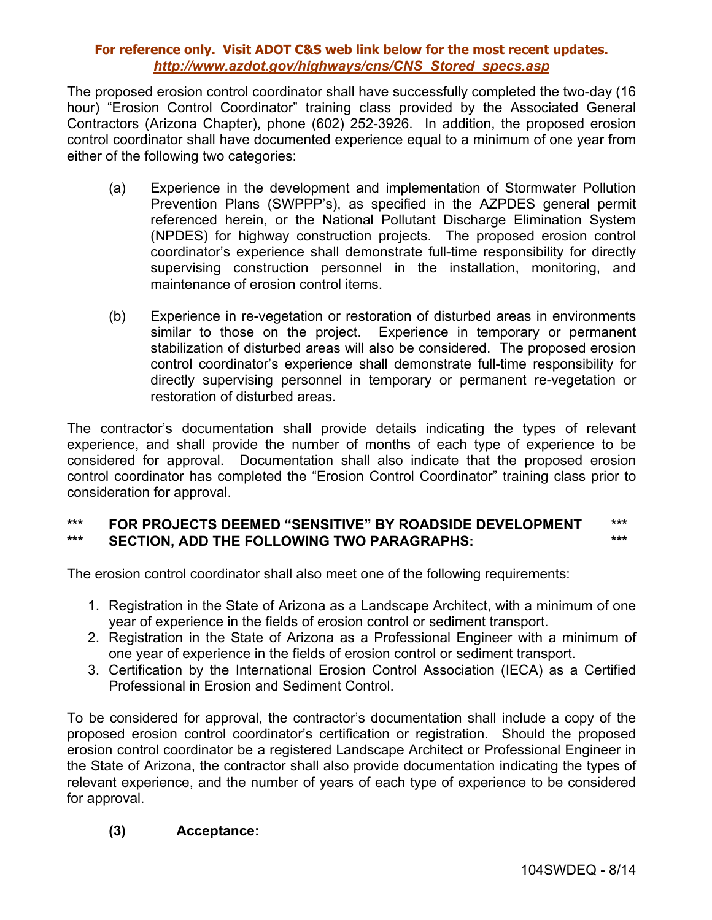The proposed erosion control coordinator shall have successfully completed the two-day (16 hour) "Erosion Control Coordinator" training class provided by the Associated General Contractors (Arizona Chapter), phone (602) 252-3926. In addition, the proposed erosion control coordinator shall have documented experience equal to a minimum of one year from either of the following two categories:

- (a) Experience in the development and implementation of Stormwater Pollution Prevention Plans (SWPPP's), as specified in the AZPDES general permit referenced herein, or the National Pollutant Discharge Elimination System (NPDES) for highway construction projects. The proposed erosion control coordinator's experience shall demonstrate full-time responsibility for directly supervising construction personnel in the installation, monitoring, and maintenance of erosion control items.
- (b) Experience in re-vegetation or restoration of disturbed areas in environments similar to those on the project. Experience in temporary or permanent stabilization of disturbed areas will also be considered. The proposed erosion control coordinator's experience shall demonstrate full-time responsibility for directly supervising personnel in temporary or permanent re-vegetation or restoration of disturbed areas.

The contractor's documentation shall provide details indicating the types of relevant experience, and shall provide the number of months of each type of experience to be considered for approval. Documentation shall also indicate that the proposed erosion control coordinator has completed the "Erosion Control Coordinator" training class prior to consideration for approval.

### **\*\*\* FOR PROJECTS DEEMED "SENSITIVE" BY ROADSIDE DEVELOPMENT \*\*\* \*\*\* SECTION, ADD THE FOLLOWING TWO PARAGRAPHS: \*\*\***

The erosion control coordinator shall also meet one of the following requirements:

- 1. Registration in the State of Arizona as a Landscape Architect, with a minimum of one year of experience in the fields of erosion control or sediment transport.
- 2. Registration in the State of Arizona as a Professional Engineer with a minimum of one year of experience in the fields of erosion control or sediment transport.
- 3. Certification by the International Erosion Control Association (IECA) as a Certified Professional in Erosion and Sediment Control.

To be considered for approval, the contractor's documentation shall include a copy of the proposed erosion control coordinator's certification or registration. Should the proposed erosion control coordinator be a registered Landscape Architect or Professional Engineer in the State of Arizona, the contractor shall also provide documentation indicating the types of relevant experience, and the number of years of each type of experience to be considered for approval.

# **(3) Acceptance:**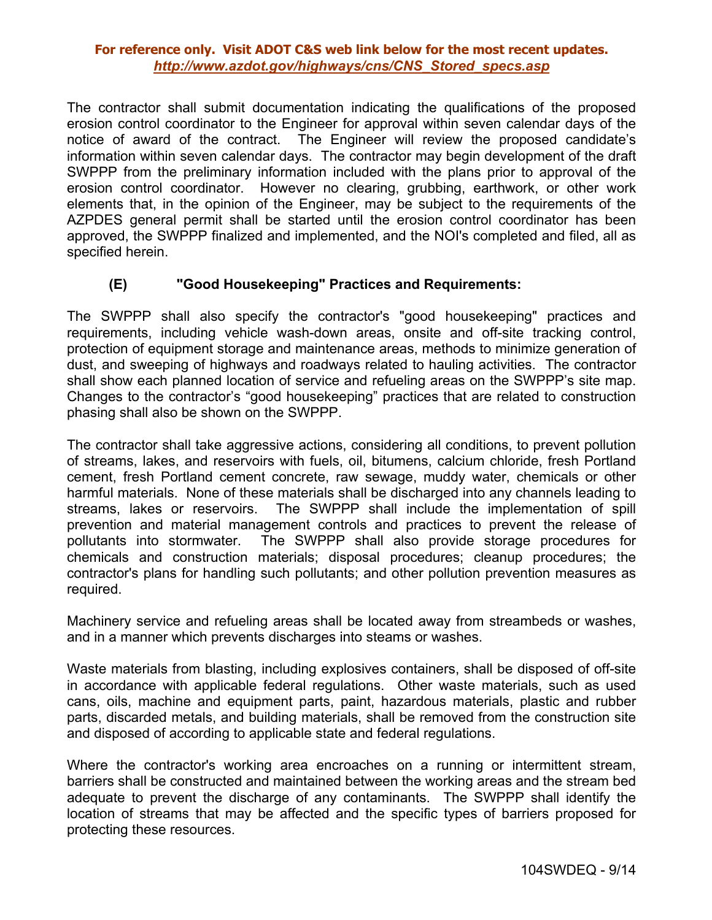The contractor shall submit documentation indicating the qualifications of the proposed erosion control coordinator to the Engineer for approval within seven calendar days of the notice of award of the contract. The Engineer will review the proposed candidate's information within seven calendar days. The contractor may begin development of the draft SWPPP from the preliminary information included with the plans prior to approval of the erosion control coordinator. However no clearing, grubbing, earthwork, or other work elements that, in the opinion of the Engineer, may be subject to the requirements of the AZPDES general permit shall be started until the erosion control coordinator has been approved, the SWPPP finalized and implemented, and the NOI's completed and filed, all as specified herein.

### **(E) "Good Housekeeping" Practices and Requirements:**

The SWPPP shall also specify the contractor's "good housekeeping" practices and requirements, including vehicle wash-down areas, onsite and off-site tracking control, protection of equipment storage and maintenance areas, methods to minimize generation of dust, and sweeping of highways and roadways related to hauling activities. The contractor shall show each planned location of service and refueling areas on the SWPPP's site map. Changes to the contractor's "good housekeeping" practices that are related to construction phasing shall also be shown on the SWPPP.

The contractor shall take aggressive actions, considering all conditions, to prevent pollution of streams, lakes, and reservoirs with fuels, oil, bitumens, calcium chloride, fresh Portland cement, fresh Portland cement concrete, raw sewage, muddy water, chemicals or other harmful materials. None of these materials shall be discharged into any channels leading to streams, lakes or reservoirs. The SWPPP shall include the implementation of spill prevention and material management controls and practices to prevent the release of pollutants into stormwater. The SWPPP shall also provide storage procedures for chemicals and construction materials; disposal procedures; cleanup procedures; the contractor's plans for handling such pollutants; and other pollution prevention measures as required.

Machinery service and refueling areas shall be located away from streambeds or washes, and in a manner which prevents discharges into steams or washes.

Waste materials from blasting, including explosives containers, shall be disposed of off-site in accordance with applicable federal regulations. Other waste materials, such as used cans, oils, machine and equipment parts, paint, hazardous materials, plastic and rubber parts, discarded metals, and building materials, shall be removed from the construction site and disposed of according to applicable state and federal regulations.

Where the contractor's working area encroaches on a running or intermittent stream, barriers shall be constructed and maintained between the working areas and the stream bed adequate to prevent the discharge of any contaminants. The SWPPP shall identify the location of streams that may be affected and the specific types of barriers proposed for protecting these resources.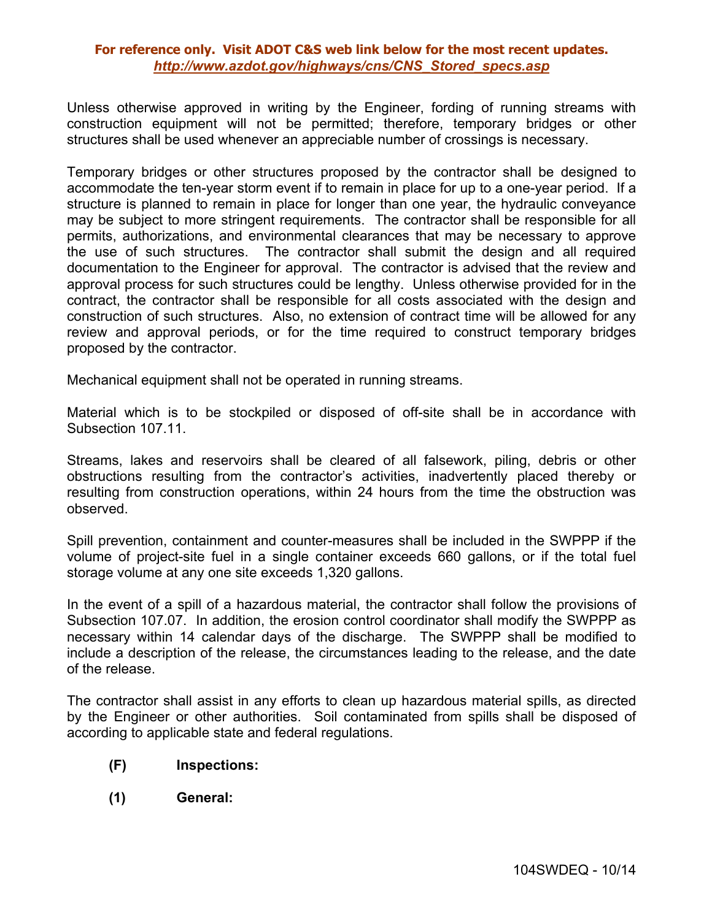Unless otherwise approved in writing by the Engineer, fording of running streams with construction equipment will not be permitted; therefore, temporary bridges or other structures shall be used whenever an appreciable number of crossings is necessary.

Temporary bridges or other structures proposed by the contractor shall be designed to accommodate the ten-year storm event if to remain in place for up to a one-year period. If a structure is planned to remain in place for longer than one year, the hydraulic conveyance may be subject to more stringent requirements. The contractor shall be responsible for all permits, authorizations, and environmental clearances that may be necessary to approve the use of such structures. The contractor shall submit the design and all required documentation to the Engineer for approval. The contractor is advised that the review and approval process for such structures could be lengthy. Unless otherwise provided for in the contract, the contractor shall be responsible for all costs associated with the design and construction of such structures. Also, no extension of contract time will be allowed for any review and approval periods, or for the time required to construct temporary bridges proposed by the contractor.

Mechanical equipment shall not be operated in running streams.

Material which is to be stockpiled or disposed of off-site shall be in accordance with Subsection 107.11.

Streams, lakes and reservoirs shall be cleared of all falsework, piling, debris or other obstructions resulting from the contractor's activities, inadvertently placed thereby or resulting from construction operations, within 24 hours from the time the obstruction was observed.

Spill prevention, containment and counter-measures shall be included in the SWPPP if the volume of project-site fuel in a single container exceeds 660 gallons, or if the total fuel storage volume at any one site exceeds 1,320 gallons.

In the event of a spill of a hazardous material, the contractor shall follow the provisions of Subsection 107.07. In addition, the erosion control coordinator shall modify the SWPPP as necessary within 14 calendar days of the discharge. The SWPPP shall be modified to include a description of the release, the circumstances leading to the release, and the date of the release.

The contractor shall assist in any efforts to clean up hazardous material spills, as directed by the Engineer or other authorities. Soil contaminated from spills shall be disposed of according to applicable state and federal regulations.

- **(F) Inspections:**
- **(1) General:**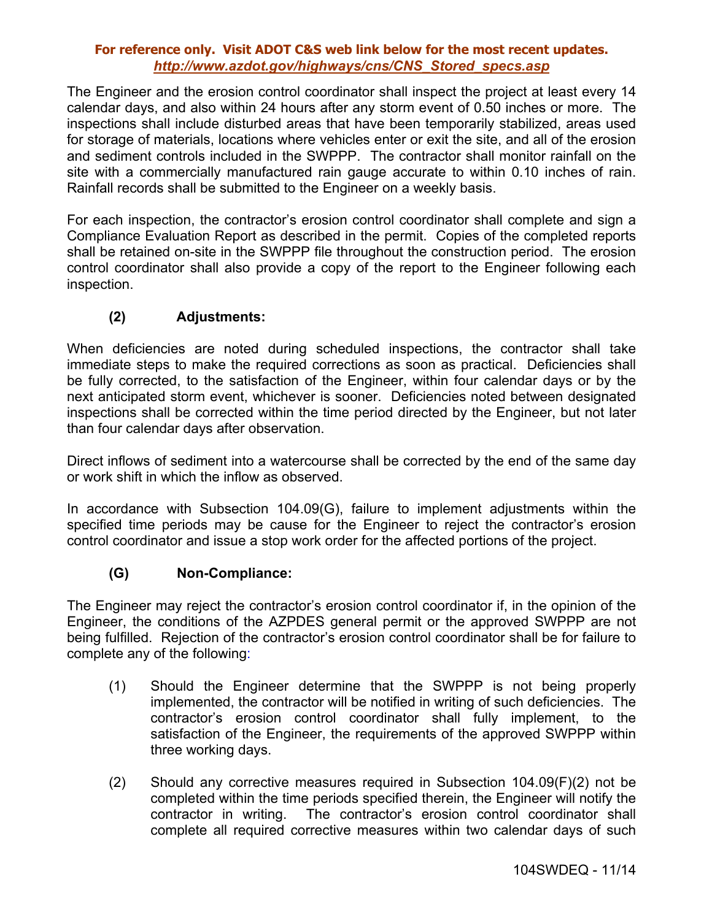The Engineer and the erosion control coordinator shall inspect the project at least every 14 calendar days, and also within 24 hours after any storm event of 0.50 inches or more. The inspections shall include disturbed areas that have been temporarily stabilized, areas used for storage of materials, locations where vehicles enter or exit the site, and all of the erosion and sediment controls included in the SWPPP. The contractor shall monitor rainfall on the site with a commercially manufactured rain gauge accurate to within 0.10 inches of rain. Rainfall records shall be submitted to the Engineer on a weekly basis.

For each inspection, the contractor's erosion control coordinator shall complete and sign a Compliance Evaluation Report as described in the permit. Copies of the completed reports shall be retained on-site in the SWPPP file throughout the construction period. The erosion control coordinator shall also provide a copy of the report to the Engineer following each inspection.

### **(2) Adjustments:**

When deficiencies are noted during scheduled inspections, the contractor shall take immediate steps to make the required corrections as soon as practical. Deficiencies shall be fully corrected, to the satisfaction of the Engineer, within four calendar days or by the next anticipated storm event, whichever is sooner. Deficiencies noted between designated inspections shall be corrected within the time period directed by the Engineer, but not later than four calendar days after observation.

Direct inflows of sediment into a watercourse shall be corrected by the end of the same day or work shift in which the inflow as observed.

In accordance with Subsection 104.09(G), failure to implement adjustments within the specified time periods may be cause for the Engineer to reject the contractor's erosion control coordinator and issue a stop work order for the affected portions of the project.

### **(G) Non-Compliance:**

The Engineer may reject the contractor's erosion control coordinator if, in the opinion of the Engineer, the conditions of the AZPDES general permit or the approved SWPPP are not being fulfilled. Rejection of the contractor's erosion control coordinator shall be for failure to complete any of the following:

- (1) Should the Engineer determine that the SWPPP is not being properly implemented, the contractor will be notified in writing of such deficiencies. The contractor's erosion control coordinator shall fully implement, to the satisfaction of the Engineer, the requirements of the approved SWPPP within three working days.
- (2) Should any corrective measures required in Subsection 104.09(F)(2) not be completed within the time periods specified therein, the Engineer will notify the contractor in writing. The contractor's erosion control coordinator shall complete all required corrective measures within two calendar days of such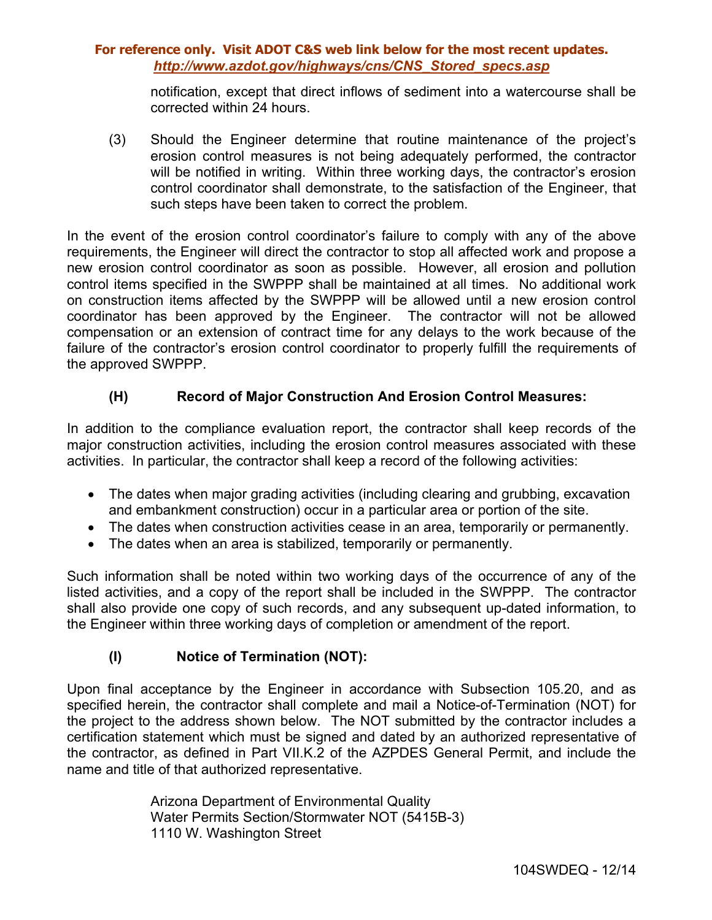notification, except that direct inflows of sediment into a watercourse shall be corrected within 24 hours.

(3) Should the Engineer determine that routine maintenance of the project's erosion control measures is not being adequately performed, the contractor will be notified in writing. Within three working days, the contractor's erosion control coordinator shall demonstrate, to the satisfaction of the Engineer, that such steps have been taken to correct the problem.

In the event of the erosion control coordinator's failure to comply with any of the above requirements, the Engineer will direct the contractor to stop all affected work and propose a new erosion control coordinator as soon as possible. However, all erosion and pollution control items specified in the SWPPP shall be maintained at all times. No additional work on construction items affected by the SWPPP will be allowed until a new erosion control coordinator has been approved by the Engineer. The contractor will not be allowed compensation or an extension of contract time for any delays to the work because of the failure of the contractor's erosion control coordinator to properly fulfill the requirements of the approved SWPPP.

# **(H) Record of Major Construction And Erosion Control Measures:**

In addition to the compliance evaluation report, the contractor shall keep records of the major construction activities, including the erosion control measures associated with these activities. In particular, the contractor shall keep a record of the following activities:

- The dates when major grading activities (including clearing and grubbing, excavation and embankment construction) occur in a particular area or portion of the site.
- The dates when construction activities cease in an area, temporarily or permanently.
- The dates when an area is stabilized, temporarily or permanently.

Such information shall be noted within two working days of the occurrence of any of the listed activities, and a copy of the report shall be included in the SWPPP. The contractor shall also provide one copy of such records, and any subsequent up-dated information, to the Engineer within three working days of completion or amendment of the report.

# **(I) Notice of Termination (NOT):**

Upon final acceptance by the Engineer in accordance with Subsection 105.20, and as specified herein, the contractor shall complete and mail a Notice-of-Termination (NOT) for the project to the address shown below. The NOT submitted by the contractor includes a certification statement which must be signed and dated by an authorized representative of the contractor, as defined in Part VII.K.2 of the AZPDES General Permit, and include the name and title of that authorized representative.

> Arizona Department of Environmental Quality Water Permits Section/Stormwater NOT (5415B-3) 1110 W. Washington Street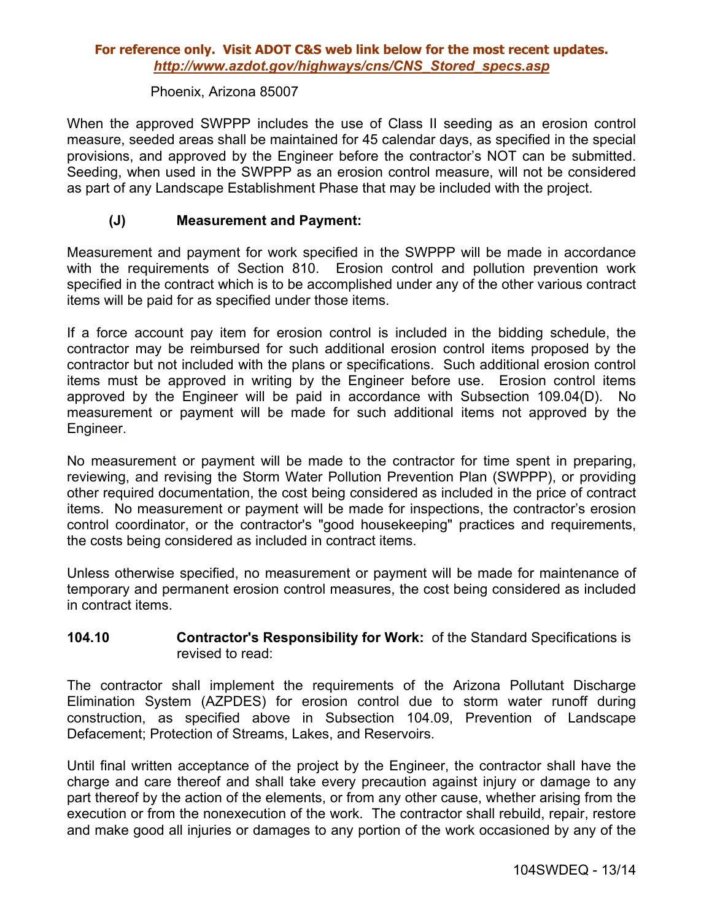#### Phoenix, Arizona 85007

When the approved SWPPP includes the use of Class II seeding as an erosion control measure, seeded areas shall be maintained for 45 calendar days, as specified in the special provisions, and approved by the Engineer before the contractor's NOT can be submitted. Seeding, when used in the SWPPP as an erosion control measure, will not be considered as part of any Landscape Establishment Phase that may be included with the project.

### **(J) Measurement and Payment:**

Measurement and payment for work specified in the SWPPP will be made in accordance with the requirements of Section 810. Erosion control and pollution prevention work specified in the contract which is to be accomplished under any of the other various contract items will be paid for as specified under those items.

If a force account pay item for erosion control is included in the bidding schedule, the contractor may be reimbursed for such additional erosion control items proposed by the contractor but not included with the plans or specifications. Such additional erosion control items must be approved in writing by the Engineer before use. Erosion control items approved by the Engineer will be paid in accordance with Subsection 109.04(D). No measurement or payment will be made for such additional items not approved by the Engineer.

No measurement or payment will be made to the contractor for time spent in preparing, reviewing, and revising the Storm Water Pollution Prevention Plan (SWPPP), or providing other required documentation, the cost being considered as included in the price of contract items. No measurement or payment will be made for inspections, the contractor's erosion control coordinator, or the contractor's "good housekeeping" practices and requirements, the costs being considered as included in contract items.

Unless otherwise specified, no measurement or payment will be made for maintenance of temporary and permanent erosion control measures, the cost being considered as included in contract items.

### **104.10 Contractor's Responsibility for Work:** of the Standard Specifications is revised to read:

The contractor shall implement the requirements of the Arizona Pollutant Discharge Elimination System (AZPDES) for erosion control due to storm water runoff during construction, as specified above in Subsection 104.09, Prevention of Landscape Defacement; Protection of Streams, Lakes, and Reservoirs.

Until final written acceptance of the project by the Engineer, the contractor shall have the charge and care thereof and shall take every precaution against injury or damage to any part thereof by the action of the elements, or from any other cause, whether arising from the execution or from the nonexecution of the work. The contractor shall rebuild, repair, restore and make good all injuries or damages to any portion of the work occasioned by any of the